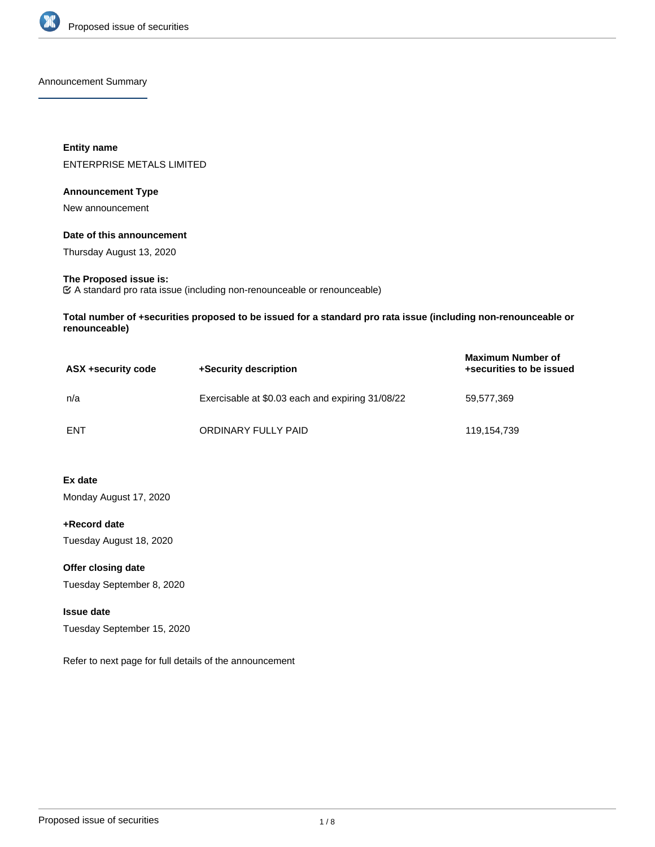

Announcement Summary

# **Entity name** ENTERPRISE METALS LIMITED

### **Announcement Type**

New announcement

### **Date of this announcement**

Thursday August 13, 2020

# **The Proposed issue is:**

A standard pro rata issue (including non-renounceable or renounceable)

**Total number of +securities proposed to be issued for a standard pro rata issue (including non-renounceable or renounceable)**

| ASX +security code | +Security description                            | <b>Maximum Number of</b><br>+securities to be issued |
|--------------------|--------------------------------------------------|------------------------------------------------------|
| n/a                | Exercisable at \$0.03 each and expiring 31/08/22 | 59,577,369                                           |
| ENT                | ORDINARY FULLY PAID                              | 119,154,739                                          |

# **Ex date**

Monday August 17, 2020

**+Record date** Tuesday August 18, 2020

**Offer closing date**

Tuesday September 8, 2020

# **Issue date**

Tuesday September 15, 2020

Refer to next page for full details of the announcement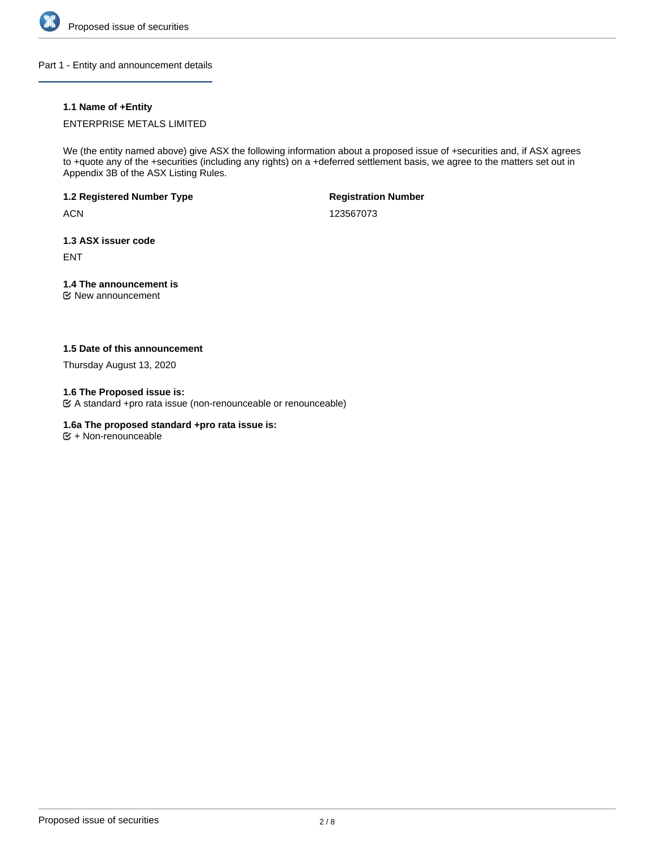

Part 1 - Entity and announcement details

# **1.1 Name of +Entity**

# ENTERPRISE METALS LIMITED

We (the entity named above) give ASX the following information about a proposed issue of +securities and, if ASX agrees to +quote any of the +securities (including any rights) on a +deferred settlement basis, we agree to the matters set out in Appendix 3B of the ASX Listing Rules.

# **1.2 Registered Number Type**

**ACN** 

**Registration Number**

123567073

# **1.3 ASX issuer code**

ENT

# **1.4 The announcement is**

New announcement

# **1.5 Date of this announcement**

Thursday August 13, 2020

# **1.6 The Proposed issue is:**

A standard +pro rata issue (non-renounceable or renounceable)

### **1.6a The proposed standard +pro rata issue is:**

 $\mathfrak{S}$  + Non-renounceable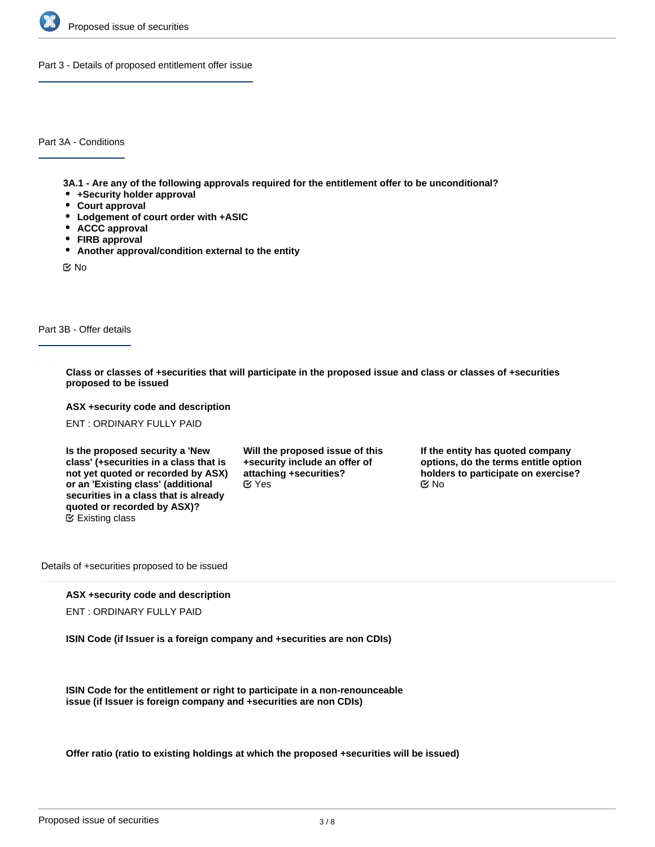

Part 3 - Details of proposed entitlement offer issue

Part 3A - Conditions

**3A.1 - Are any of the following approvals required for the entitlement offer to be unconditional?**

- **+Security holder approval**
- **Court approval**
- **Lodgement of court order with +ASIC**
- **ACCC approval**
- **FIRB approval**
- **Another approval/condition external to the entity**

No

Part 3B - Offer details

**Class or classes of +securities that will participate in the proposed issue and class or classes of +securities proposed to be issued**

**ASX +security code and description**

ENT : ORDINARY FULLY PAID

**Is the proposed security a 'New class' (+securities in a class that is not yet quoted or recorded by ASX) or an 'Existing class' (additional securities in a class that is already quoted or recorded by ASX)?** Existing class

**Will the proposed issue of this +security include an offer of attaching +securities?**  $\mathscr{C}$  Yes  $\mathscr{C}$  No

**If the entity has quoted company options, do the terms entitle option holders to participate on exercise?**

Details of +securities proposed to be issued

#### **ASX +security code and description**

ENT : ORDINARY FULLY PAID

**ISIN Code (if Issuer is a foreign company and +securities are non CDIs)**

**ISIN Code for the entitlement or right to participate in a non-renounceable issue (if Issuer is foreign company and +securities are non CDIs)**

**Offer ratio (ratio to existing holdings at which the proposed +securities will be issued)**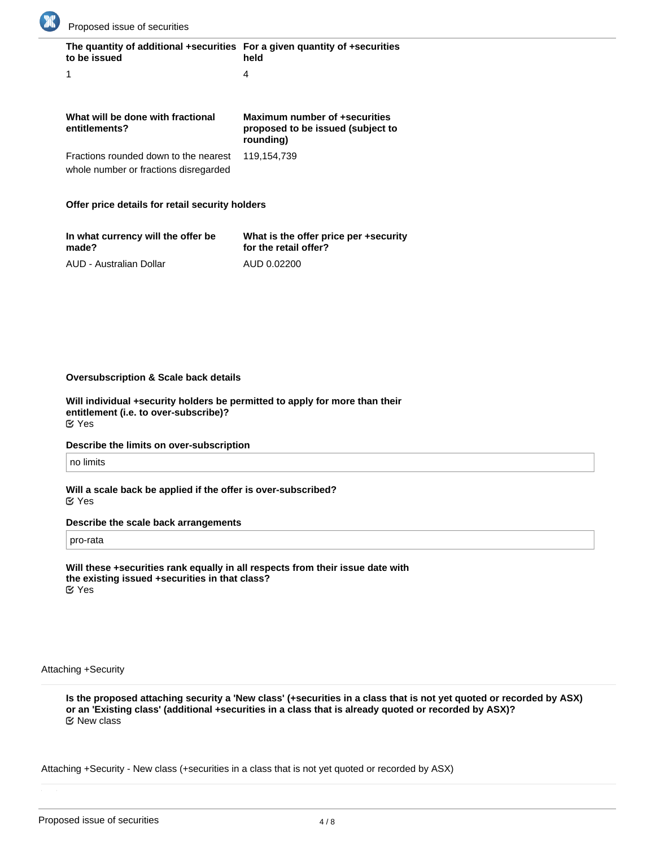

| The quantity of additional +securities For a given quantity of +securities<br>to be issued | held                                                                            |
|--------------------------------------------------------------------------------------------|---------------------------------------------------------------------------------|
|                                                                                            | 4                                                                               |
|                                                                                            |                                                                                 |
| What will be done with fractional<br>entitlements?                                         | Maximum number of +securities<br>proposed to be issued (subject to<br>rounding) |
| Fractions rounded down to the nearest<br>whole number or fractions disregarded             | 119,154,739                                                                     |
|                                                                                            |                                                                                 |

#### **Offer price details for retail security holders**

| In what currency will the offer be | What is the offer price per +security |
|------------------------------------|---------------------------------------|
| made?                              | for the retail offer?                 |
| AUD - Australian Dollar            | AUD 0.02200                           |

#### **Oversubscription & Scale back details**

**Will individual +security holders be permitted to apply for more than their entitlement (i.e. to over-subscribe)?** Yes

#### **Describe the limits on over-subscription**

no limits

**Will a scale back be applied if the offer is over-subscribed?** Yes

### **Describe the scale back arrangements**

pro-rata

**Will these +securities rank equally in all respects from their issue date with the existing issued +securities in that class?** Yes

#### Attaching +Security

**Is the proposed attaching security a 'New class' (+securities in a class that is not yet quoted or recorded by ASX) or an 'Existing class' (additional +securities in a class that is already quoted or recorded by ASX)?** New class

Attaching +Security - New class (+securities in a class that is not yet quoted or recorded by ASX)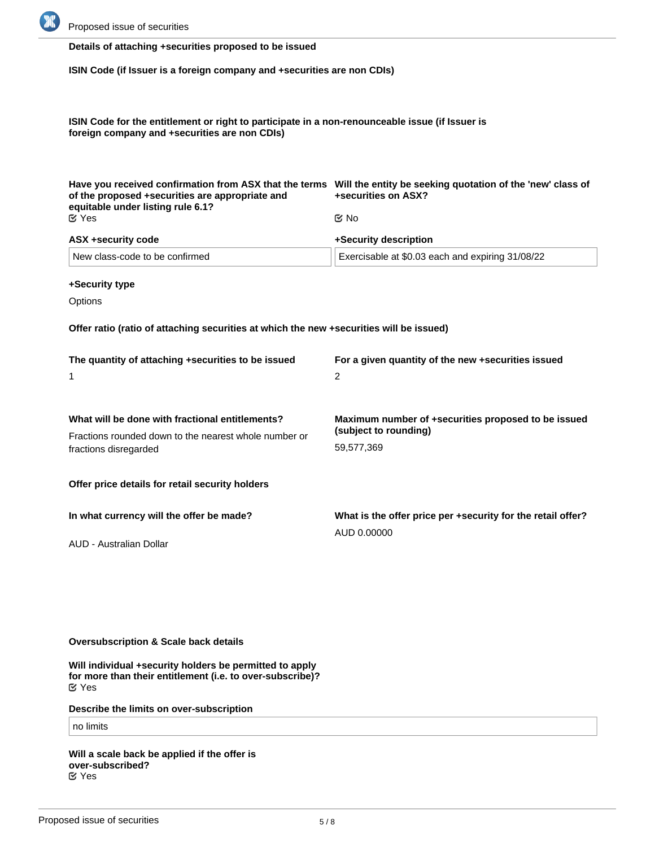

# **Details of attaching +securities proposed to be issued**

**ISIN Code (if Issuer is a foreign company and +securities are non CDIs)**

**ISIN Code for the entitlement or right to participate in a non-renounceable issue (if Issuer is foreign company and +securities are non CDIs)**

| of the proposed +securities are appropriate and<br>equitable under listing rule 6.1? | Have you received confirmation from ASX that the terms Will the entity be seeking quotation of the 'new' class of<br>+securities on ASX? |  |
|--------------------------------------------------------------------------------------|------------------------------------------------------------------------------------------------------------------------------------------|--|
| <b>M</b> Yes                                                                         | tiX No                                                                                                                                   |  |
| ASX +security code                                                                   | +Security description                                                                                                                    |  |
| New class-code to be confirmed                                                       | Exercisable at \$0.03 each and expiring 31/08/22                                                                                         |  |

**+Security type**

**Options** 

**Offer ratio (ratio of attaching securities at which the new +securities will be issued)**

| The quantity of attaching +securities to be issued    | For a given quantity of the new +securities issued          |  |
|-------------------------------------------------------|-------------------------------------------------------------|--|
| 1                                                     | 2                                                           |  |
| What will be done with fractional entitlements?       | Maximum number of +securities proposed to be issued         |  |
| Fractions rounded down to the nearest whole number or | (subject to rounding)                                       |  |
| fractions disregarded                                 | 59,577,369                                                  |  |
| Offer price details for retail security holders       |                                                             |  |
| In what currency will the offer be made?              | What is the offer price per +security for the retail offer? |  |
| AUD - Australian Dollar                               | AUD 0.00000                                                 |  |

### **Oversubscription & Scale back details**

**Will individual +security holders be permitted to apply for more than their entitlement (i.e. to over-subscribe)?** Yes

**Describe the limits on over-subscription**

# no limits

**Will a scale back be applied if the offer is over-subscribed?** Yes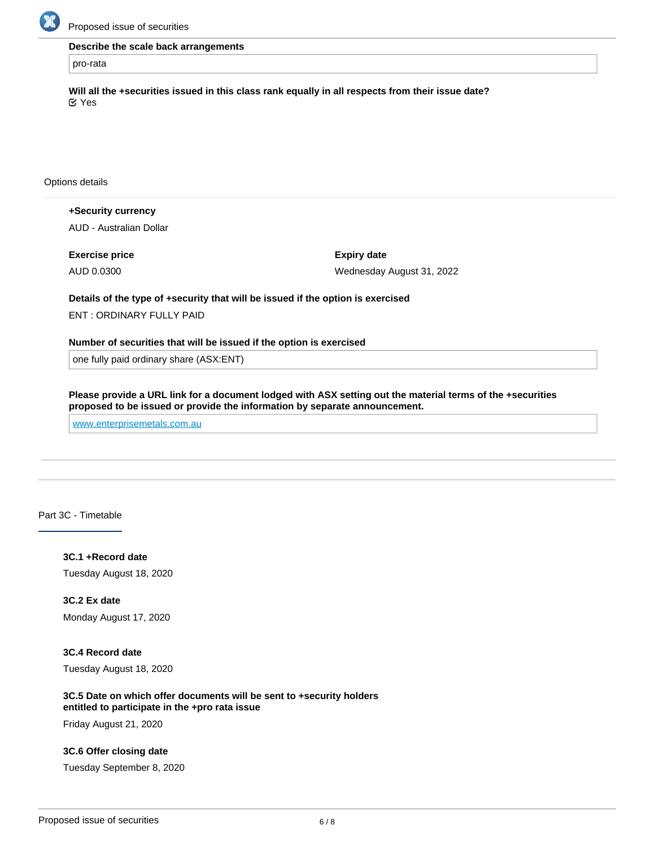

Proposed issue of securities

**Describe the scale back arrangements**

pro-rata

**Will all the +securities issued in this class rank equally in all respects from their issue date?** Yes

Options details

**+Security currency** AUD - Australian Dollar

**Exercise price** AUD 0.0300

**Expiry date** Wednesday August 31, 2022

**Details of the type of +security that will be issued if the option is exercised** ENT : ORDINARY FULLY PAID

**Number of securities that will be issued if the option is exercised**

one fully paid ordinary share (ASX:ENT)

**Please provide a URL link for a document lodged with ASX setting out the material terms of the +securities proposed to be issued or provide the information by separate announcement.**

[www.enterprisemetals.com.au](http://www.enterprisemetals.com.au)

Part 3C - Timetable

**3C.1 +Record date** Tuesday August 18, 2020

**3C.2 Ex date** Monday August 17, 2020

**3C.4 Record date** Tuesday August 18, 2020

**3C.5 Date on which offer documents will be sent to +security holders entitled to participate in the +pro rata issue**

Friday August 21, 2020

**3C.6 Offer closing date**

Tuesday September 8, 2020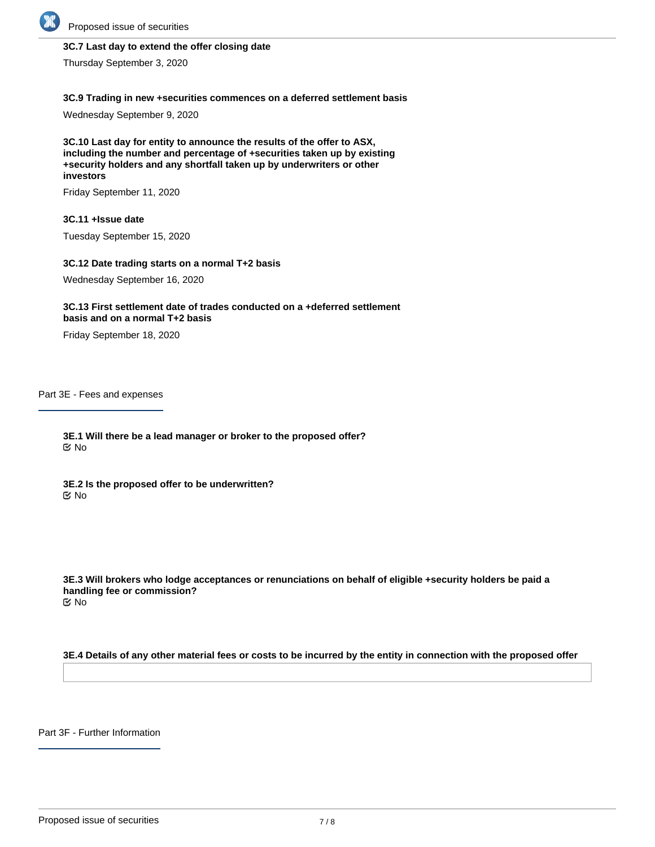

# **3C.7 Last day to extend the offer closing date**

Thursday September 3, 2020

#### **3C.9 Trading in new +securities commences on a deferred settlement basis**

Wednesday September 9, 2020

**3C.10 Last day for entity to announce the results of the offer to ASX, including the number and percentage of +securities taken up by existing +security holders and any shortfall taken up by underwriters or other investors**

Friday September 11, 2020

#### **3C.11 +Issue date**

Tuesday September 15, 2020

#### **3C.12 Date trading starts on a normal T+2 basis**

Wednesday September 16, 2020

#### **3C.13 First settlement date of trades conducted on a +deferred settlement basis and on a normal T+2 basis**

Friday September 18, 2020

Part 3E - Fees and expenses

**3E.1 Will there be a lead manager or broker to the proposed offer?** No

**3E.2 Is the proposed offer to be underwritten?** No

**3E.3 Will brokers who lodge acceptances or renunciations on behalf of eligible +security holders be paid a handling fee or commission?** No

**3E.4 Details of any other material fees or costs to be incurred by the entity in connection with the proposed offer**

Part 3F - Further Information